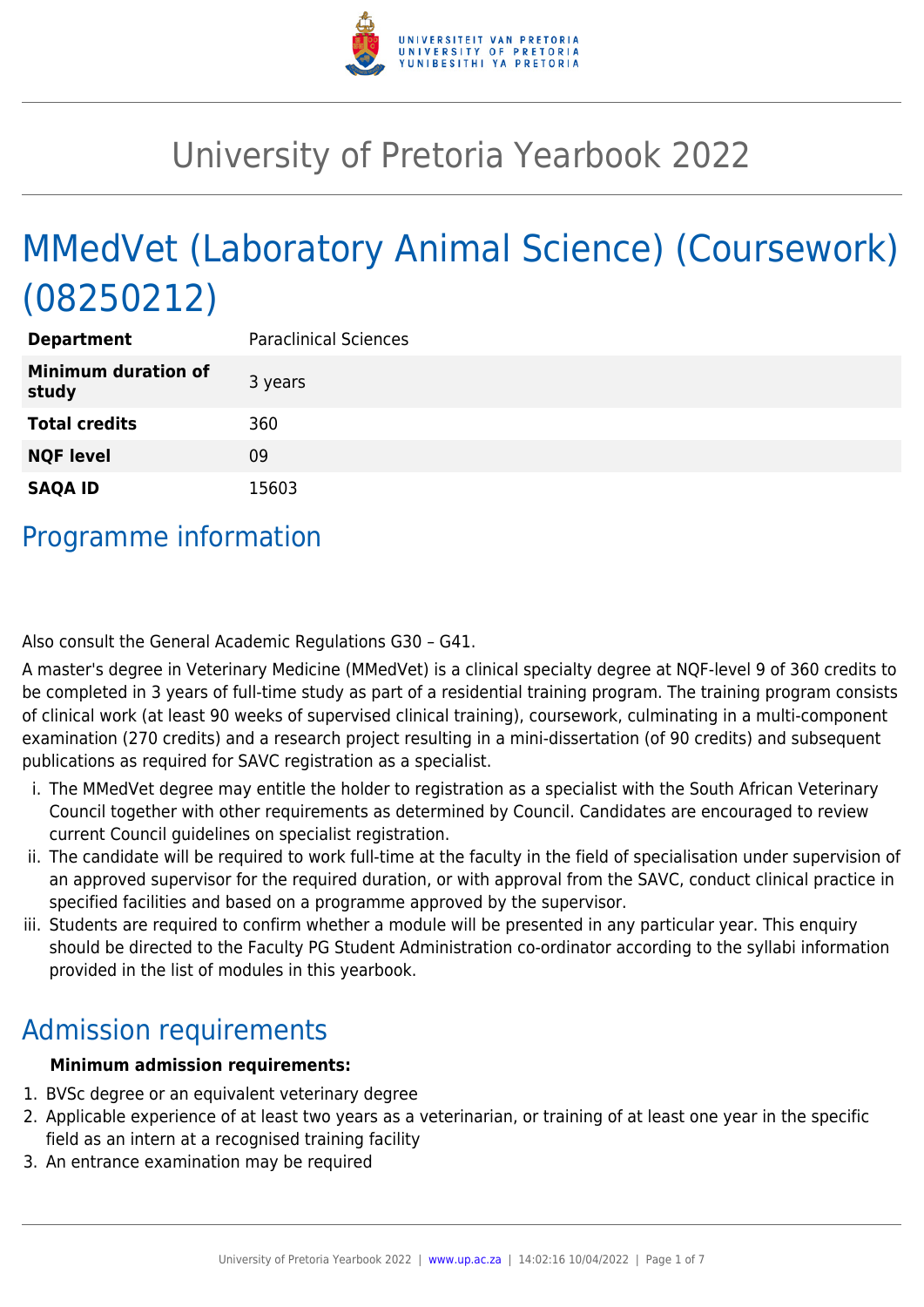

# University of Pretoria Yearbook 2022

# MMedVet (Laboratory Animal Science) (Coursework) (08250212)

| <b>Department</b>                   | <b>Paraclinical Sciences</b> |
|-------------------------------------|------------------------------|
| <b>Minimum duration of</b><br>study | 3 years                      |
| <b>Total credits</b>                | 360                          |
| <b>NQF level</b>                    | 09                           |
| <b>SAQA ID</b>                      | 15603                        |

### Programme information

Also consult the General Academic Regulations G30 – G41.

A master's degree in Veterinary Medicine (MMedVet) is a clinical specialty degree at NQF-level 9 of 360 credits to be completed in 3 years of full-time study as part of a residential training program. The training program consists of clinical work (at least 90 weeks of supervised clinical training), coursework, culminating in a multi-component examination (270 credits) and a research project resulting in a mini-dissertation (of 90 credits) and subsequent publications as required for SAVC registration as a specialist.

- i. The MMedVet degree may entitle the holder to registration as a specialist with the South African Veterinary Council together with other requirements as determined by Council. Candidates are encouraged to review current Council guidelines on specialist registration.
- ii. The candidate will be required to work full-time at the faculty in the field of specialisation under supervision of an approved supervisor for the required duration, or with approval from the SAVC, conduct clinical practice in specified facilities and based on a programme approved by the supervisor.
- iii. Students are required to confirm whether a module will be presented in any particular year. This enquiry should be directed to the Faculty PG Student Administration co-ordinator according to the syllabi information provided in the list of modules in this yearbook.

## Admission requirements

#### **Minimum admission requirements:**

- 1. BVSc degree or an equivalent veterinary degree
- 2. Applicable experience of at least two years as a veterinarian, or training of at least one year in the specific field as an intern at a recognised training facility
- 3. An entrance examination may be required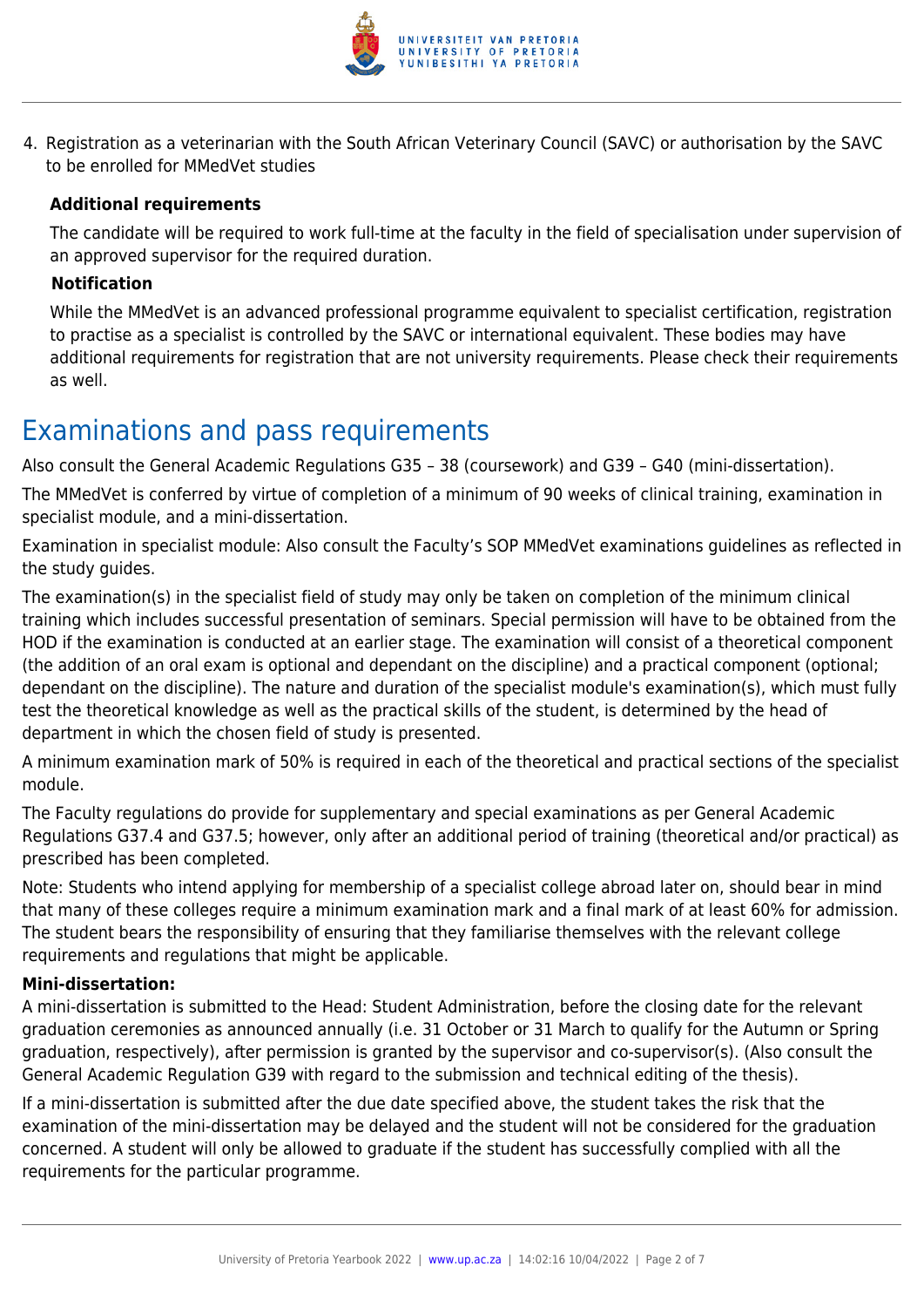

4. Registration as a veterinarian with the South African Veterinary Council (SAVC) or authorisation by the SAVC to be enrolled for MMedVet studies

#### **Additional requirements**

The candidate will be required to work full-time at the faculty in the field of specialisation under supervision of an approved supervisor for the required duration.

#### **Notification**

While the MMedVet is an advanced professional programme equivalent to specialist certification, registration to practise as a specialist is controlled by the SAVC or international equivalent. These bodies may have additional requirements for registration that are not university requirements. Please check their requirements as well.

### Examinations and pass requirements

Also consult the General Academic Regulations G35 – 38 (coursework) and G39 – G40 (mini-dissertation).

The MMedVet is conferred by virtue of completion of a minimum of 90 weeks of clinical training, examination in specialist module, and a mini-dissertation.

Examination in specialist module: Also consult the Faculty's SOP MMedVet examinations guidelines as reflected in the study guides.

The examination(s) in the specialist field of study may only be taken on completion of the minimum clinical training which includes successful presentation of seminars. Special permission will have to be obtained from the HOD if the examination is conducted at an earlier stage. The examination will consist of a theoretical component (the addition of an oral exam is optional and dependant on the discipline) and a practical component (optional; dependant on the discipline). The nature and duration of the specialist module's examination(s), which must fully test the theoretical knowledge as well as the practical skills of the student, is determined by the head of department in which the chosen field of study is presented.

A minimum examination mark of 50% is required in each of the theoretical and practical sections of the specialist module.

The Faculty regulations do provide for supplementary and special examinations as per General Academic Regulations G37.4 and G37.5; however, only after an additional period of training (theoretical and/or practical) as prescribed has been completed.

Note: Students who intend applying for membership of a specialist college abroad later on, should bear in mind that many of these colleges require a minimum examination mark and a final mark of at least 60% for admission. The student bears the responsibility of ensuring that they familiarise themselves with the relevant college requirements and regulations that might be applicable.

#### **Mini-dissertation:**

A mini-dissertation is submitted to the Head: Student Administration, before the closing date for the relevant graduation ceremonies as announced annually (i.e. 31 October or 31 March to qualify for the Autumn or Spring graduation, respectively), after permission is granted by the supervisor and co-supervisor(s). (Also consult the General Academic Regulation G39 with regard to the submission and technical editing of the thesis).

If a mini-dissertation is submitted after the due date specified above, the student takes the risk that the examination of the mini-dissertation may be delayed and the student will not be considered for the graduation concerned. A student will only be allowed to graduate if the student has successfully complied with all the requirements for the particular programme.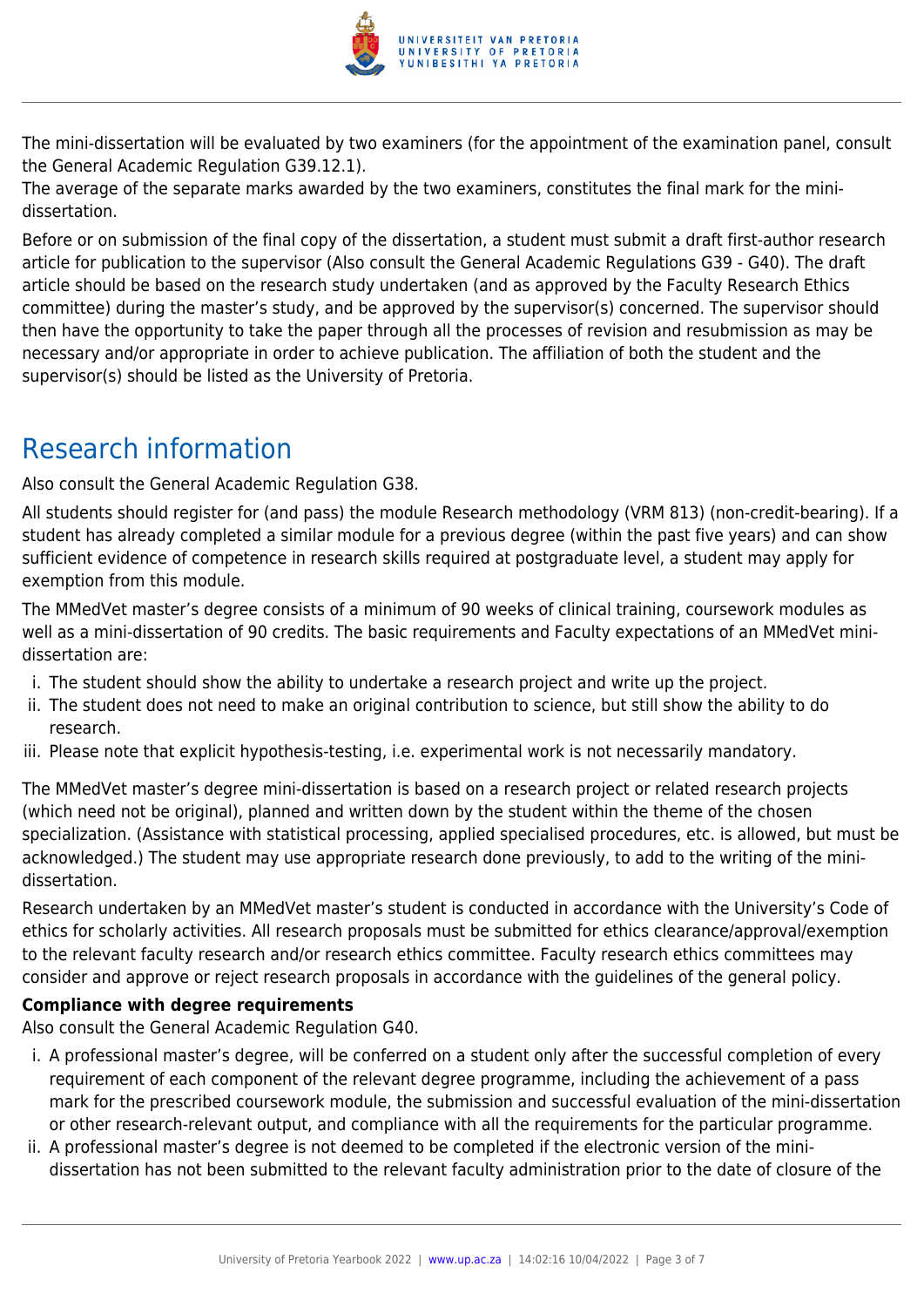

The mini-dissertation will be evaluated by two examiners (for the appointment of the examination panel, consult the General Academic Regulation G39.12.1).

The average of the separate marks awarded by the two examiners, constitutes the final mark for the minidissertation.

Before or on submission of the final copy of the dissertation, a student must submit a draft first-author research article for publication to the supervisor (Also consult the General Academic Regulations G39 - G40). The draft article should be based on the research study undertaken (and as approved by the Faculty Research Ethics committee) during the master's study, and be approved by the supervisor(s) concerned. The supervisor should then have the opportunity to take the paper through all the processes of revision and resubmission as may be necessary and/or appropriate in order to achieve publication. The affiliation of both the student and the supervisor(s) should be listed as the University of Pretoria.

# Research information

Also consult the General Academic Regulation G38.

All students should register for (and pass) the module Research methodology (VRM 813) (non-credit-bearing). If a student has already completed a similar module for a previous degree (within the past five years) and can show sufficient evidence of competence in research skills required at postgraduate level, a student may apply for exemption from this module.

The MMedVet master's degree consists of a minimum of 90 weeks of clinical training, coursework modules as well as a mini-dissertation of 90 credits. The basic requirements and Faculty expectations of an MMedVet minidissertation are:

- i. The student should show the ability to undertake a research project and write up the project.
- ii. The student does not need to make an original contribution to science, but still show the ability to do research.
- iii. Please note that explicit hypothesis-testing, i.e. experimental work is not necessarily mandatory.

The MMedVet master's degree mini-dissertation is based on a research project or related research projects (which need not be original), planned and written down by the student within the theme of the chosen specialization. (Assistance with statistical processing, applied specialised procedures, etc. is allowed, but must be acknowledged.) The student may use appropriate research done previously, to add to the writing of the minidissertation.

Research undertaken by an MMedVet master's student is conducted in accordance with the University's Code of ethics for scholarly activities. All research proposals must be submitted for ethics clearance/approval/exemption to the relevant faculty research and/or research ethics committee. Faculty research ethics committees may consider and approve or reject research proposals in accordance with the guidelines of the general policy.

#### **Compliance with degree requirements**

Also consult the General Academic Regulation G40.

- i. A professional master's degree, will be conferred on a student only after the successful completion of every requirement of each component of the relevant degree programme, including the achievement of a pass mark for the prescribed coursework module, the submission and successful evaluation of the mini-dissertation or other research-relevant output, and compliance with all the requirements for the particular programme.
- ii. A professional master's degree is not deemed to be completed if the electronic version of the minidissertation has not been submitted to the relevant faculty administration prior to the date of closure of the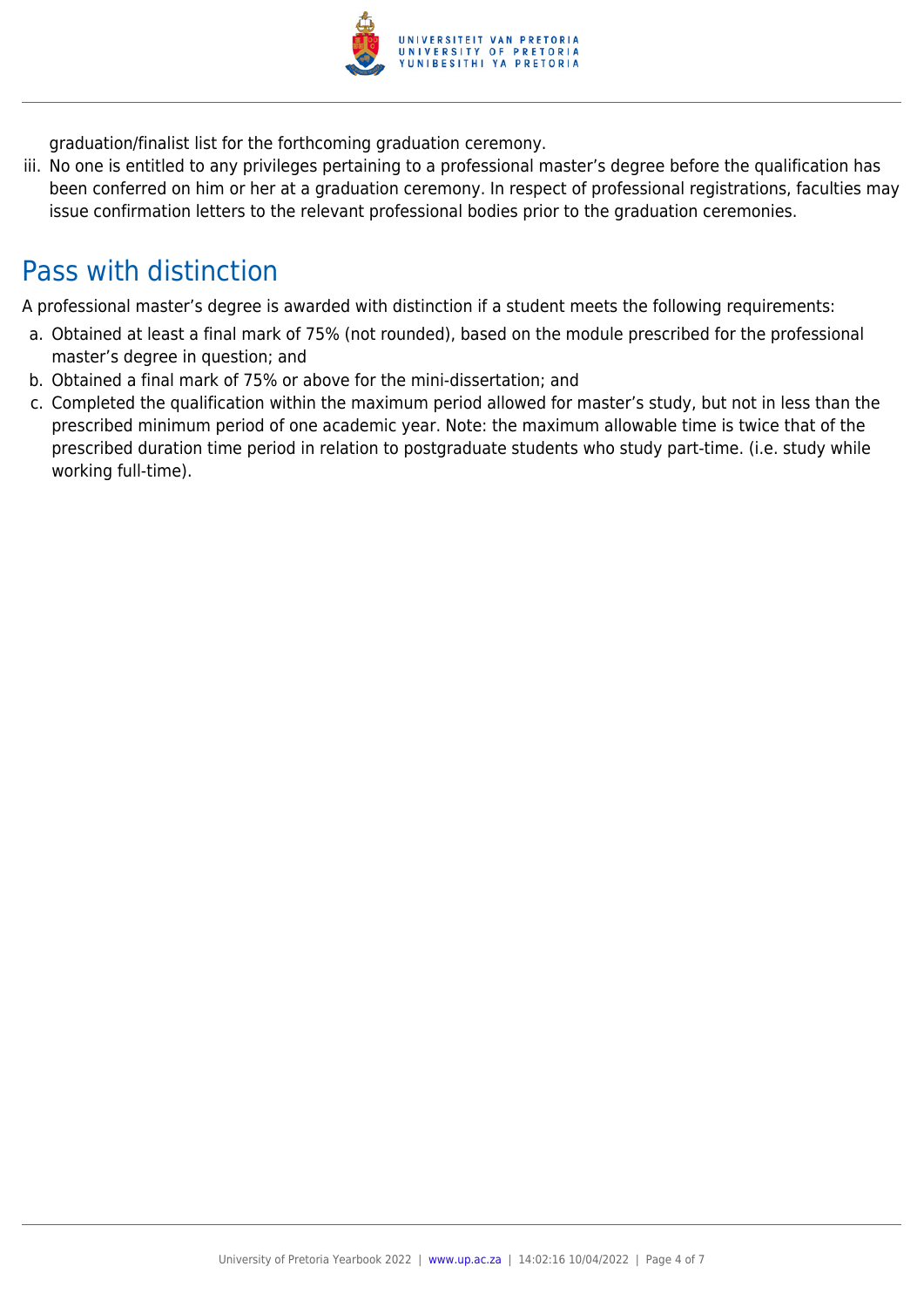

graduation/finalist list for the forthcoming graduation ceremony.

iii. No one is entitled to any privileges pertaining to a professional master's degree before the qualification has been conferred on him or her at a graduation ceremony. In respect of professional registrations, faculties may issue confirmation letters to the relevant professional bodies prior to the graduation ceremonies.

## Pass with distinction

A professional master's degree is awarded with distinction if a student meets the following requirements:

- a. Obtained at least a final mark of 75% (not rounded), based on the module prescribed for the professional master's degree in question; and
- b. Obtained a final mark of 75% or above for the mini-dissertation; and
- c. Completed the qualification within the maximum period allowed for master's study, but not in less than the prescribed minimum period of one academic year. Note: the maximum allowable time is twice that of the prescribed duration time period in relation to postgraduate students who study part-time. (i.e. study while working full-time).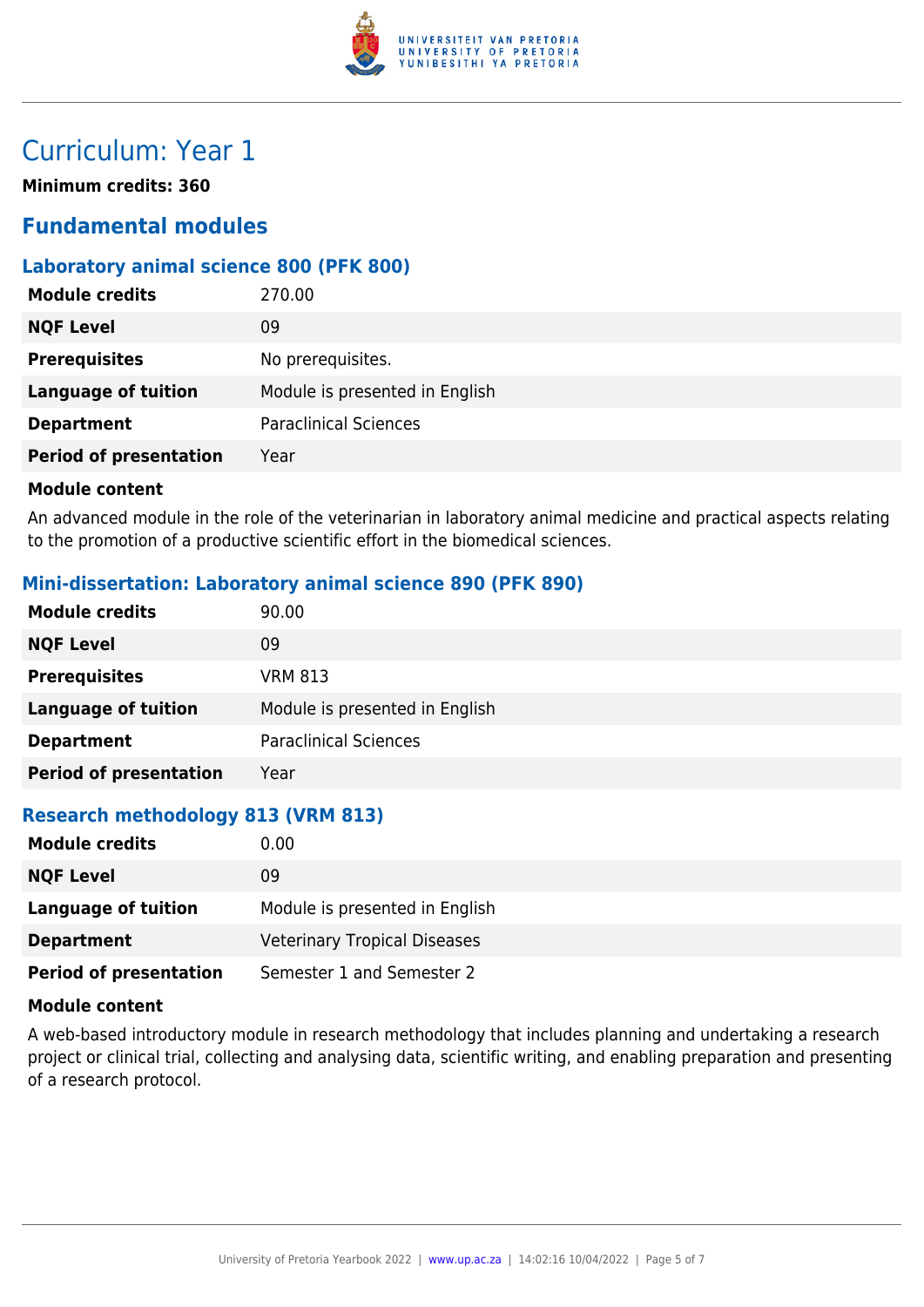

## Curriculum: Year 1

**Minimum credits: 360**

### **Fundamental modules**

#### **Laboratory animal science 800 (PFK 800)**

| <b>Module credits</b>         | 270.00                         |
|-------------------------------|--------------------------------|
| <b>NQF Level</b>              | 09                             |
| <b>Prerequisites</b>          | No prerequisites.              |
| <b>Language of tuition</b>    | Module is presented in English |
| <b>Department</b>             | <b>Paraclinical Sciences</b>   |
| <b>Period of presentation</b> | Year                           |
|                               |                                |

#### **Module content**

An advanced module in the role of the veterinarian in laboratory animal medicine and practical aspects relating to the promotion of a productive scientific effort in the biomedical sciences.

#### **Mini-dissertation: Laboratory animal science 890 (PFK 890)**

| <b>Module credits</b>         | 90.00                          |
|-------------------------------|--------------------------------|
| <b>NQF Level</b>              | 09                             |
| <b>Prerequisites</b>          | <b>VRM 813</b>                 |
| <b>Language of tuition</b>    | Module is presented in English |
| <b>Department</b>             | <b>Paraclinical Sciences</b>   |
| <b>Period of presentation</b> | Year                           |

#### **Research methodology 813 (VRM 813)**

| <b>Module credits</b>         | 0.00                                |
|-------------------------------|-------------------------------------|
| <b>NQF Level</b>              | 09                                  |
| Language of tuition           | Module is presented in English      |
| <b>Department</b>             | <b>Veterinary Tropical Diseases</b> |
| <b>Period of presentation</b> | Semester 1 and Semester 2           |

#### **Module content**

A web-based introductory module in research methodology that includes planning and undertaking a research project or clinical trial, collecting and analysing data, scientific writing, and enabling preparation and presenting of a research protocol.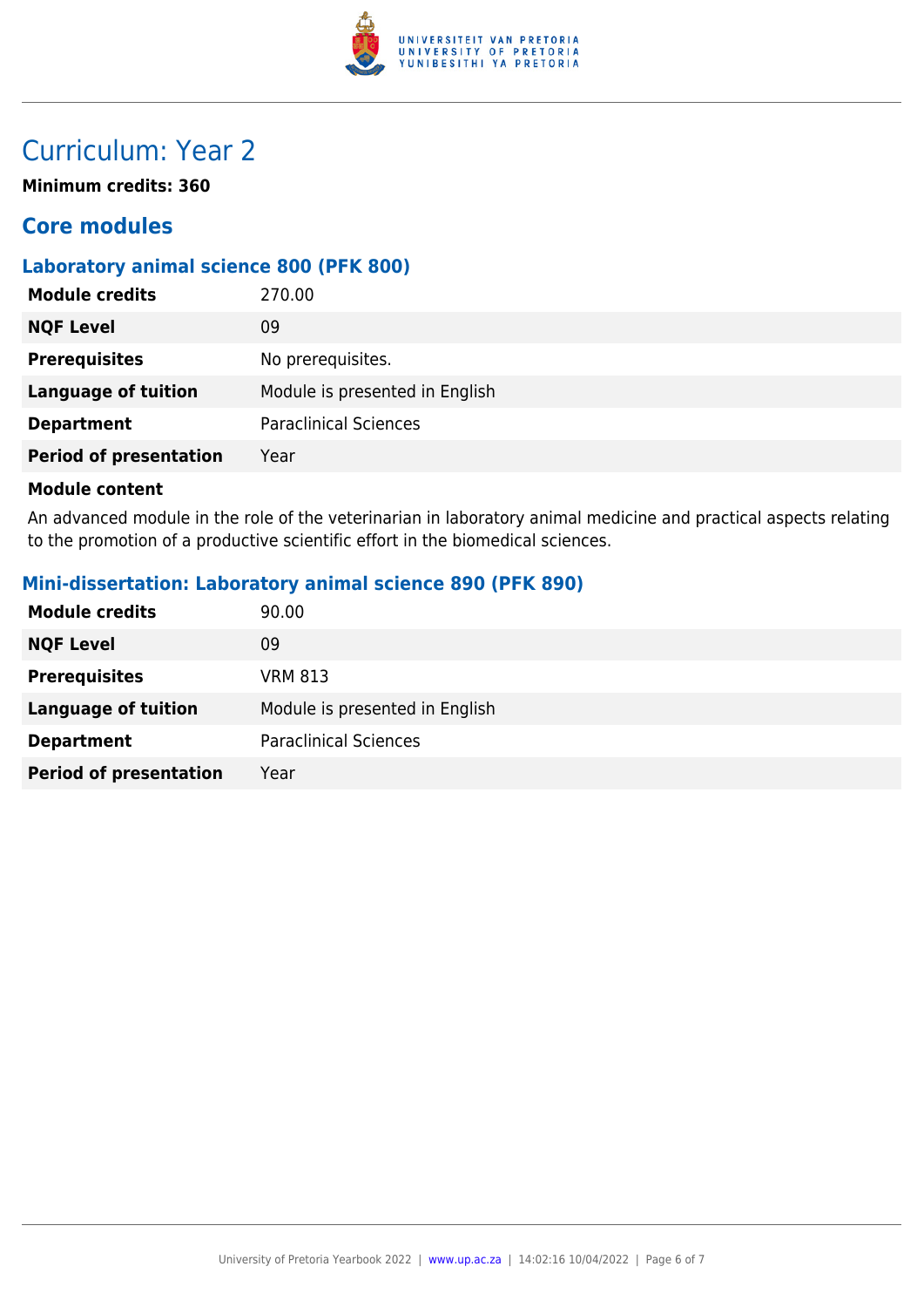

## Curriculum: Year 2

**Minimum credits: 360**

### **Core modules**

#### **Laboratory animal science 800 (PFK 800)**

| <b>Module credits</b>         | 270.00                         |
|-------------------------------|--------------------------------|
| <b>NQF Level</b>              | 09                             |
| <b>Prerequisites</b>          | No prerequisites.              |
| <b>Language of tuition</b>    | Module is presented in English |
| <b>Department</b>             | <b>Paraclinical Sciences</b>   |
| <b>Period of presentation</b> | Year                           |
|                               |                                |

#### **Module content**

An advanced module in the role of the veterinarian in laboratory animal medicine and practical aspects relating to the promotion of a productive scientific effort in the biomedical sciences.

#### **Mini-dissertation: Laboratory animal science 890 (PFK 890)**

| <b>Module credits</b>         | 90.00                          |
|-------------------------------|--------------------------------|
| <b>NQF Level</b>              | 09                             |
| <b>Prerequisites</b>          | <b>VRM 813</b>                 |
| Language of tuition           | Module is presented in English |
| <b>Department</b>             | <b>Paraclinical Sciences</b>   |
| <b>Period of presentation</b> | Year                           |